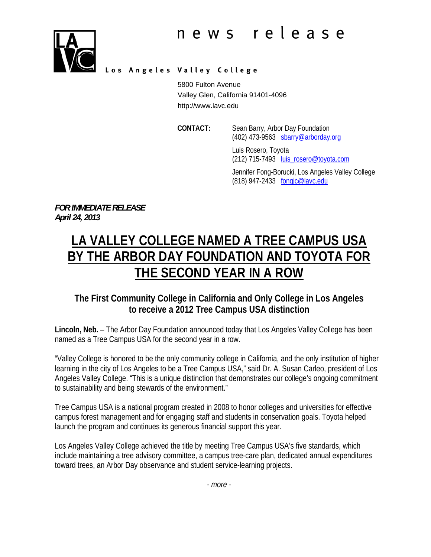

Los Angeles Valley College

5800 Fulton Avenue Valley Glen, California 91401-4096 http://www.lavc.edu

 **CONTACT:** Sean Barry, Arbor Day Foundation (402) 473-9563 sbarry@arborday.org

> Luis Rosero, Toyota (212) 715-7493 luis\_rosero@toyota.com

Jennifer Fong-Borucki, Los Angeles Valley College (818) 947-2433 fongjc@lavc.edu

*FOR IMMEDIATE RELEASE April 24, 2013* 

# **LA VALLEY COLLEGE NAMED A TREE CAMPUS USA BY THE ARBOR DAY FOUNDATION AND TOYOTA FOR THE SECOND YEAR IN A ROW**

## **The First Community College in California and Only College in Los Angeles to receive a 2012 Tree Campus USA distinction**

**Lincoln, Neb.** – The Arbor Day Foundation announced today that Los Angeles Valley College has been named as a Tree Campus USA for the second year in a row.

"Valley College is honored to be the only community college in California, and the only institution of higher learning in the city of Los Angeles to be a Tree Campus USA," said Dr. A. Susan Carleo, president of Los Angeles Valley College. "This is a unique distinction that demonstrates our college's ongoing commitment to sustainability and being stewards of the environment."

Tree Campus USA is a national program created in 2008 to honor colleges and universities for effective campus forest management and for engaging staff and students in conservation goals. Toyota helped launch the program and continues its generous financial support this year.

Los Angeles Valley College achieved the title by meeting Tree Campus USA's five standards, which include maintaining a tree advisory committee, a campus tree-care plan, dedicated annual expenditures toward trees, an Arbor Day observance and student service-learning projects.

*- more -*